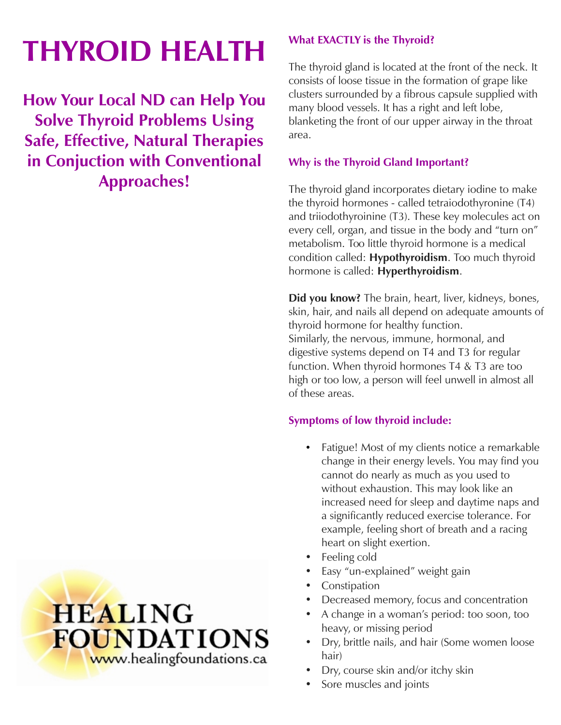# **THYROID HEALTH**

**How Your Local ND can Help You Solve Thyroid Problems Using Safe, Effective, Natural Therapies in Conjuction with Conventional Approaches!**





#### **What EXACTLY is the Thyroid?**

The thyroid gland is located at the front of the neck. It consists of loose tissue in the formation of grape like clusters surrounded by a fibrous capsule supplied with many blood vessels. It has a right and left lobe, blanketing the front of our upper airway in the throat area.

#### **Why is the Thyroid Gland Important?**

The thyroid gland incorporates dietary iodine to make the thyroid hormones - called tetraiodothyronine (T4) and triiodothyroinine (T3). These key molecules act on every cell, organ, and tissue in the body and "turn on" metabolism. Too little thyroid hormone is a medical condition called: **Hypothyroidism**. Too much thyroid hormone is called: **Hyperthyroidism**.

**Did you know?** The brain, heart, liver, kidneys, bones, skin, hair, and nails all depend on adequate amounts of thyroid hormone for healthy function. Similarly, the nervous, immune, hormonal, and digestive systems depend on T4 and T3 for regular function. When thyroid hormones T4 & T3 are too high or too low, a person will feel unwell in almost all of these areas.

#### **Symptoms of low thyroid include:**

- Fatigue! Most of my clients notice a remarkable change in their energy levels. You may find you cannot do nearly as much as you used to without exhaustion. This may look like an increased need for sleep and daytime naps and a significantly reduced exercise tolerance. For example, feeling short of breath and a racing heart on slight exertion.
- Feeling cold
- Easy "un-explained" weight gain
- Constipation
- Decreased memory, focus and concentration
- A change in a woman's period: too soon, too heavy, or missing period
- Dry, brittle nails, and hair (Some women loose hair)
- Dry, course skin and/or itchy skin
- Sore muscles and joints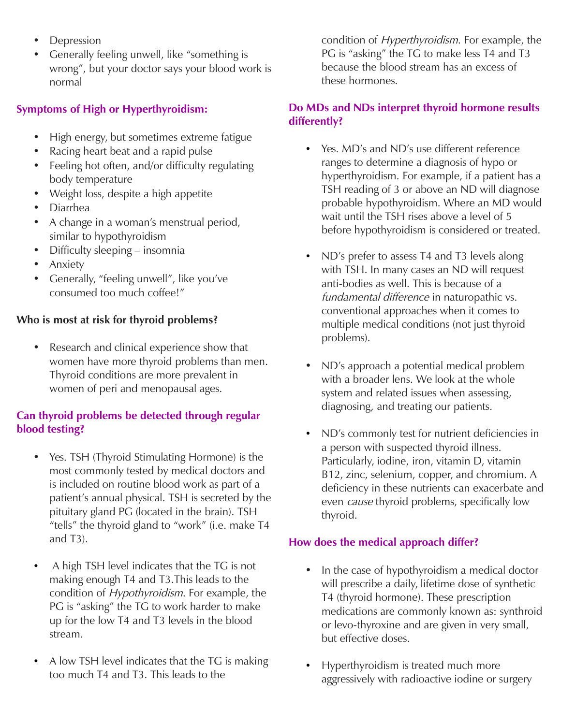- Depression
- Generally feeling unwell, like "something is wrong", but your doctor says your blood work is normal

#### **Symptoms of High or Hyperthyroidism:**

- High energy, but sometimes extreme fatigue
- Racing heart beat and a rapid pulse
- Feeling hot often, and/or difficulty regulating body temperature
- Weight loss, despite a high appetite
- Diarrhea
- A change in a woman's menstrual period, similar to hypothyroidism
- Difficulty sleeping insomnia
- Anxiety
- Generally, "feeling unwell", like you've consumed too much coffee!"

#### **Who is most at risk for thyroid problems?**

• Research and clinical experience show that women have more thyroid problems than men. Thyroid conditions are more prevalent in women of peri and menopausal ages.

#### **Can thyroid problems be detected through regular blood testing?**

- Yes. TSH (Thyroid Stimulating Hormone) is the most commonly tested by medical doctors and is included on routine blood work as part of a patient's annual physical. TSH is secreted by the pituitary gland PG (located in the brain). TSH "tells" the thyroid gland to "work" (i.e. make T4 and T3).
- A high TSH level indicates that the TG is not making enough T4 and T3.This leads to the condition of Hypothyroidism. For example, the PG is "asking" the TG to work harder to make up for the low T4 and T3 levels in the blood stream.
- A low TSH level indicates that the TG is making too much T4 and T3. This leads to the

condition of *Hyperthyroidism*. For example, the PG is "asking" the TG to make less T4 and T3 because the blood stream has an excess of these hormones.

#### **Do MDs and NDs interpret thyroid hormone results differently?**

- Yes. MD's and ND's use different reference ranges to determine a diagnosis of hypo or hyperthyroidism. For example, if a patient has a TSH reading of 3 or above an ND will diagnose probable hypothyroidism. Where an MD would wait until the TSH rises above a level of 5 before hypothyroidism is considered or treated.
- ND's prefer to assess T4 and T3 levels along with TSH. In many cases an ND will request anti-bodies as well. This is because of a fundamental difference in naturopathic vs. conventional approaches when it comes to multiple medical conditions (not just thyroid problems).
- ND's approach a potential medical problem with a broader lens. We look at the whole system and related issues when assessing, diagnosing, and treating our patients.
- ND's commonly test for nutrient deficiencies in a person with suspected thyroid illness. Particularly, iodine, iron, vitamin D, vitamin B12, zinc, selenium, copper, and chromium. A deficiency in these nutrients can exacerbate and even *cause* thyroid problems, specifically low thyroid.

#### **How does the medical approach differ?**

- In the case of hypothyroidism a medical doctor will prescribe a daily, lifetime dose of synthetic T4 (thyroid hormone). These prescription medications are commonly known as: synthroid or levo-thyroxine and are given in very small, but effective doses.
- Hyperthyroidism is treated much more aggressively with radioactive iodine or surgery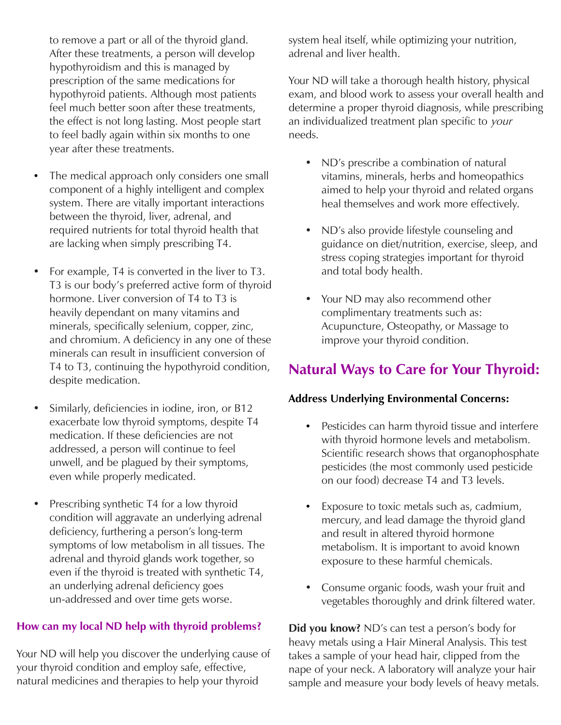to remove a part or all of the thyroid gland. After these treatments, a person will develop hypothyroidism and this is managed by prescription of the same medications for hypothyroid patients. Although most patients feel much better soon after these treatments, the effect is not long lasting. Most people start to feel badly again within six months to one year after these treatments.

- The medical approach only considers one small component of a highly intelligent and complex system. There are vitally important interactions between the thyroid, liver, adrenal, and required nutrients for total thyroid health that are lacking when simply prescribing T4.
- For example, T4 is converted in the liver to T3. T3 is our body's preferred active form of thyroid hormone. Liver conversion of T4 to T3 is heavily dependant on many vitamins and minerals, specifically selenium, copper, zinc, and chromium. A deficiency in any one of these minerals can result in insufficient conversion of T4 to T3, continuing the hypothyroid condition, despite medication.
- Similarly, deficiencies in iodine, iron, or B12 exacerbate low thyroid symptoms, despite T4 medication. If these deficiencies are not addressed, a person will continue to feel unwell, and be plagued by their symptoms, even while properly medicated.
- Prescribing synthetic T4 for a low thyroid condition will aggravate an underlying adrenal deficiency, furthering a person's long-term symptoms of low metabolism in all tissues. The adrenal and thyroid glands work together, so even if the thyroid is treated with synthetic T4, an underlying adrenal deficiency goes un-addressed and over time gets worse.

#### **How can my local ND help with thyroid problems?**

Your ND will help you discover the underlying cause of your thyroid condition and employ safe, effective, natural medicines and therapies to help your thyroid

system heal itself, while optimizing your nutrition, adrenal and liver health.

Your ND will take a thorough health history, physical exam, and blood work to assess your overall health and determine a proper thyroid diagnosis, while prescribing an individualized treatment plan specific to your needs.

- ND's prescribe a combination of natural vitamins, minerals, herbs and homeopathics aimed to help your thyroid and related organs heal themselves and work more effectively.
- ND's also provide lifestyle counseling and guidance on diet/nutrition, exercise, sleep, and stress coping strategies important for thyroid and total body health.
- Your ND may also recommend other complimentary treatments such as: Acupuncture, Osteopathy, or Massage to improve your thyroid condition.

# **Natural Ways to Care for Your Thyroid:**

## **Address Underlying Environmental Concerns:**

- Pesticides can harm thyroid tissue and interfere with thyroid hormone levels and metabolism. Scientific research shows that organophosphate pesticides (the most commonly used pesticide on our food) decrease T4 and T3 levels.
- Exposure to toxic metals such as, cadmium, mercury, and lead damage the thyroid gland and result in altered thyroid hormone metabolism. It is important to avoid known exposure to these harmful chemicals.
- Consume organic foods, wash your fruit and vegetables thoroughly and drink filtered water.

**Did you know?** ND's can test a person's body for heavy metals using a Hair Mineral Analysis. This test takes a sample of your head hair, clipped from the nape of your neck. A laboratory will analyze your hair sample and measure your body levels of heavy metals.